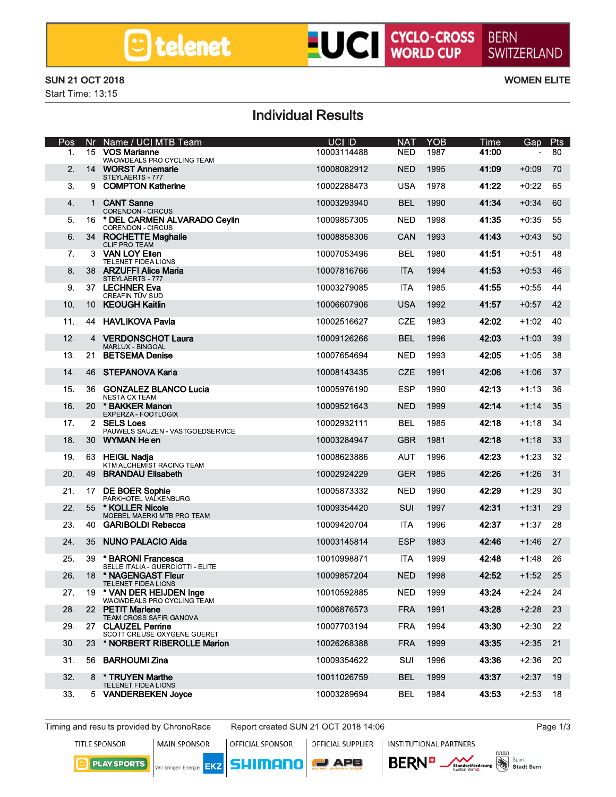# LUCI CYCLO-CROSS

#### **SUN 21 OCT 2018**

Start Time: 13:15

**WOMEN ELITE** 

### **Individual Results**

| Pos |                 | Nr Name / UCI MTB Team                                      | <b>UCI ID</b> | <b>NAT</b> | <b>YOB</b> | Time  | <b>Gap</b> | <b>Pts</b> |
|-----|-----------------|-------------------------------------------------------------|---------------|------------|------------|-------|------------|------------|
| 1.  |                 | 15 VOS Marianne<br>WAOWDEALS PRO CYCLING TEAM               | 10003114488   | <b>NED</b> | 1987       | 41:00 |            | 80         |
| 2.  |                 | 14 WORST Annemarie<br>STEYLAERTS - 777                      | 10008082912   | <b>NED</b> | 1995       | 41:09 | $+0:09$    | 70         |
| 3.  |                 | 9 COMPTON Katherine                                         | 10002288473   | USA        | 1978       | 41:22 | $+0.22$    | 65         |
| 4.  |                 | 1 CANT Sanne<br><b>CORENDON - CIRCUS</b>                    | 10003293940   | <b>BEL</b> | 1990       | 41:34 | $+0:34$    | 60         |
| 5.  |                 | 16 * DEL CARMEN ALVARADO Ceylin<br><b>CORENDON - CIRCUS</b> | 10009857305   | <b>NED</b> | 1998       | 41:35 | $+0:35$    | 55         |
| 6.  |                 | 34 ROCHETTE Maghalie<br>CLIF PRO TEAM                       | 10008858306   | CAN        | 1993       | 41:43 | $+0:43$    | 50         |
| 7.  |                 | 3 VAN LOY Ellen<br>TELENET FIDEA LIONS                      | 10007053496   | <b>BEL</b> | 1980       | 41:51 | +0:51      | 48         |
| 8.  |                 | 38 ARZUFFI Alice Maria<br>STEYLAERTS - 777                  | 10007816766   | <b>ITA</b> | 1994       | 41:53 | $+0:53$    | 46         |
| 9.  |                 | 37 LECHNER Eva<br>CREAFIN TÜV SUD                           | 10003279085   | <b>ITA</b> | 1985       | 41:55 | $+0:55$    | 44         |
| 10. |                 | 10 KEOUGH Kaitlin                                           | 10006607906   | <b>USA</b> | 1992       | 41:57 | $+0:57$    | 42         |
| 11. |                 | 44 HAVLIKOVA Pavla                                          | 10002516627   | CZE        | 1983       | 42:02 | $+1:02$    | 40         |
| 12. | $\overline{4}$  | <b>VERDONSCHOT Laura</b><br><b>MARLUX - BINGOAL</b>         | 10009126266   | <b>BEL</b> | 1996       | 42:03 | $+1:03$    | 39         |
| 13. | 21              | <b>BETSEMA Denise</b>                                       | 10007654694   | NED        | 1993       | 42:05 | $+1:05$    | 38         |
| 14. |                 | 46 STEPANOVA Karla                                          | 10008143435   | <b>CZE</b> | 1991       | 42:06 | $+1:06$    | 37         |
| 15. |                 | 36 GONZALEZ BLANCO Lucia<br><b>NESTA CX TEAM</b>            | 10005976190   | <b>ESP</b> | 1990       | 42:13 | +1:13      | 36         |
| 16. | 20              | * BAKKER Manon<br>EXPERZA - FOOTLOGIX                       | 10009521643   | <b>NED</b> | 1999       | 42:14 | $+1:14$    | 35         |
| 17. |                 | 2 SELS Loes<br>PAUWELS SAUZEN - VASTGOEDSERVICE             | 10002932111   | <b>BEL</b> | 1985       | 42:18 | $+1:18$    | 34         |
| 18. |                 | 30 WYMAN Helen                                              | 10003284947   | GBR        | 1981       | 42:18 | $+1:18$    | 33         |
| 19. |                 | 63 HEIGL Nadja<br>KTM ALCHEMIST RACING TEAM                 | 10008623886   | <b>AUT</b> | 1996       | 42:23 | $+1:23$    | 32         |
| 20. | 49              | <b>BRANDAU Elisabeth</b>                                    | 10002924229   | <b>GER</b> | 1985       | 42:26 | $+1:26$    | 31         |
| 21. |                 | 17 DE BOER Sophie<br>PARKHOTEL VALKENBURG                   | 10005873332   | NED        | 1990       | 42:29 | +1:29      | 30         |
| 22. |                 | 55 * KOLLER Nicole<br>MOEBEL MAERKI MTB PRO TEAM            | 10009354420   | SUI        | 1997       | 42:31 | $+1:31$    | 29         |
| 23. | 40              | <b>GARIBOLDI Rebecca</b>                                    | 10009420704   | <b>ITA</b> | 1996       | 42:37 | $+1:37$    | 28         |
| 24. | 35              | <b>NUNO PALACIO Aida</b>                                    | 10003145814   | <b>ESP</b> | 1983       | 42:46 | $+1:46$    | 27         |
| 25. |                 | 39 * BARONI Francesca<br>SELLE ITALIA - GUERCIOTTI - ELITE  | 10010998871   | <b>ITA</b> | 1999       | 42:48 | +1:48      | 26         |
| 26. | 18              | * NAGENGAST Fleur<br>TELENET FIDEA LIONS                    | 10009857204   | NED        | 1998       | 42:52 | $+1:52$    | 25         |
| 27. |                 | 19 * VAN DER HEIJDEN Inge<br>WAOWDEALS PRO CYCLING TEAM     | 10010592885   | <b>NED</b> | 1999       | 43:24 | $+2:24$    | 24         |
| 28. | 22 <sub>2</sub> | <b>PETIT Marlene</b><br>TEAM CROSS SAFIR GANOVA             | 10006876573   | <b>FRA</b> | 1991       | 43:28 | $+2:28$    | 23         |
| 29. |                 | 27 CLAUZEL Perrine<br>SCOTT CREUSE OXYGENE GUERET           | 10007703194   | <b>FRA</b> | 1994       | 43:30 | $+2:30$    | 22         |
| 30. |                 | 23 * NORBERT RIBEROLLE Marion                               | 10026268388   | <b>FRA</b> | 1999       | 43:35 | $+2:35$    | 21         |
| 31. |                 | 56 BARHOUMI Zina                                            | 10009354622   | SUI        | 1996       | 43:36 | $+2:36$    | 20         |
| 32. |                 | 8 * TRUYEN Marthe<br>TELENET FIDEA LIONS                    | 10011026759   | <b>BEL</b> | 1999       | 43:37 | $+2:37$    | 19         |
| 33. |                 | 5 VANDERBEKEN Joyce                                         | 10003289694   | BEL        | 1984       | 43:53 | $+2:53$    | 18         |

Timing and results provided by ChronoRace

**PLAY SPORTS** 

Report created SUN 21 OCT 2018 14:06

Page 1/3

**TITLE SPONSOR** 

**MAIN SPONSOR** 

Wir bringen Energie **EKZ** 

OFFICIAL SPONSOR

**SHIMANO** 

OFFICIAL SUPPLIER **INSTITUTIONAL PARTNERS** 

 $\blacksquare$  APB



**NNNN** 3

Sport

**Stadt Bern**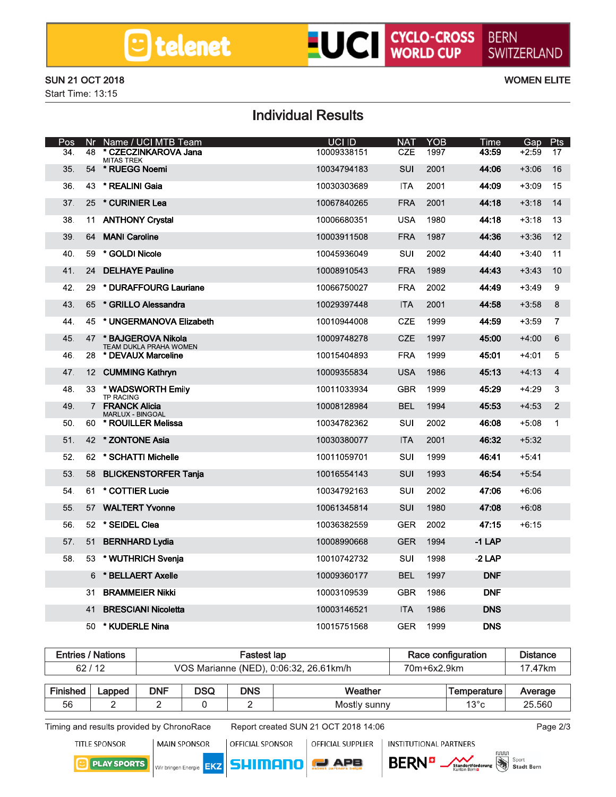## **LUCI** CYCLO-CROSS

#### **SUN 21 OCT 2018**

Start Time: 13:15

**WOMEN ELITE** 

## **Individual Results**

| Pos | Nr | Name / UCI MTB Team                             | <b>UCI ID</b> | <b>NAT</b> | <b>YOB</b> | <b>Time</b> | Gap     | <b>Pts</b>     |
|-----|----|-------------------------------------------------|---------------|------------|------------|-------------|---------|----------------|
| 34. | 48 | * CZECZINKAROVA Jana<br><b>MITAS TREK</b>       | 10009338151   | CZE        | 1997       | 43:59       | $+2:59$ | 17             |
| 35. |    | 54 * RUEGG Noemi                                | 10034794183   | SUI        | 2001       | 44:06       | $+3:06$ | 16             |
| 36. | 43 | * REALINI Gaia                                  | 10030303689   | ITA.       | 2001       | 44:09       | $+3:09$ | 15             |
| 37. | 25 | * CURINIER Lea                                  | 10067840265   | <b>FRA</b> | 2001       | 44:18       | $+3:18$ | 14             |
| 38. |    | 11 ANTHONY Crystal                              | 10006680351   | <b>USA</b> | 1980       | 44:18       | $+3:18$ | 13             |
| 39. | 64 | <b>MANI Caroline</b>                            | 10003911508   | <b>FRA</b> | 1987       | 44:36       | $+3:36$ | 12             |
| 40. | 59 | * GOLDI Nicole                                  | 10045936049   | SUI        | 2002       | 44:40       | $+3:40$ | 11             |
| 41. | 24 | <b>DELHAYE Pauline</b>                          | 10008910543   | <b>FRA</b> | 1989       | 44:43       | $+3:43$ | 10             |
| 42. | 29 | * DURAFFOURG Lauriane                           | 10066750027   | <b>FRA</b> | 2002       | 44:49       | $+3:49$ | 9              |
| 43. | 65 | * GRILLO Alessandra                             | 10029397448   | <b>ITA</b> | 2001       | 44:58       | $+3:58$ | 8              |
| 44. |    | 45 * UNGERMANOVA Elizabeth                      | 10010944008   | <b>CZE</b> | 1999       | 44:59       | $+3:59$ | $\overline{7}$ |
| 45. |    | 47 * BAJGEROVA Nikola<br>TEAM DUKLA PRAHA WOMEN | 10009748278   | <b>CZE</b> | 1997       | 45:00       | $+4:00$ | 6              |
| 46. |    | 28 * DEVAUX Marceline                           | 10015404893   | <b>FRA</b> | 1999       | 45:01       | $+4:01$ | 5              |
| 47. |    | 12 CUMMING Kathryn                              | 10009355834   | <b>USA</b> | 1986       | 45:13       | $+4:13$ | $\overline{4}$ |
| 48. |    | 33 * WADSWORTH Emily<br><b>TP RACING</b>        | 10011033934   | <b>GBR</b> | 1999       | 45:29       | $+4:29$ | 3              |
| 49. | 7  | <b>FRANCK Alicia</b><br>MARLUX - BINGOAL        | 10008128984   | <b>BEL</b> | 1994       | 45:53       | $+4:53$ | 2              |
| 50. |    | 60 * ROUILLER Melissa                           | 10034782362   | SUI        | 2002       | 46:08       | $+5:08$ | $\mathbf 1$    |
| 51. |    | 42 * ZONTONE Asia                               | 10030380077   | <b>ITA</b> | 2001       | 46:32       | $+5:32$ |                |
| 52. |    | 62 * SCHATTI Michelle                           | 10011059701   | SUI        | 1999       | 46:41       | $+5:41$ |                |
| 53. | 58 | <b>BLICKENSTORFER Tanja</b>                     | 10016554143   | SUI        | 1993       | 46:54       | $+5:54$ |                |
| 54. | 61 | * COTTIER Lucie                                 | 10034792163   | SUI        | 2002       | 47:06       | $+6:06$ |                |
| 55. |    | 57 WALTERT Yvonne                               | 10061345814   | SUI        | 1980       | 47:08       | $+6:08$ |                |
| 56. |    | 52 * SEIDEL Clea                                | 10036382559   | <b>GER</b> | 2002       | 47:15       | $+6:15$ |                |
| 57. | 51 | <b>BERNHARD Lydia</b>                           | 10008990668   | <b>GER</b> | 1994       | $-1$ LAP    |         |                |
| 58. | 53 | * WUTHRICH Svenia                               | 10010742732   | SUI        | 1998       | $-2$ LAP    |         |                |
|     | 6  | * BELLAERT Axelle                               | 10009360177   | <b>BEL</b> | 1997       | <b>DNF</b>  |         |                |
|     | 31 | <b>BRAMMEIER Nikki</b>                          | 10003109539   | GBR        | 1986       | <b>DNF</b>  |         |                |
|     | 41 | <b>BRESCIANI Nicoletta</b>                      | 10003146521   | <b>ITA</b> | 1986       | <b>DNS</b>  |         |                |
|     | 50 | * KUDERLE Nina                                  | 10015751568   | <b>GER</b> | 1999       | <b>DNS</b>  |         |                |

|                 | <b>Entries / Nations</b> |                                        |            | Fastest lap<br>Race configuration |              |             |               | <b>Distance</b> |
|-----------------|--------------------------|----------------------------------------|------------|-----------------------------------|--------------|-------------|---------------|-----------------|
|                 | 62/12                    | VOS Marianne (NED), 0:06:32, 26.61km/h |            |                                   |              | 70m+6x2.9km | 17.47km       |                 |
| <b>Finished</b> | Lapped                   | <b>DNF</b>                             | <b>DSQ</b> | <b>DNS</b>                        | Weather      |             | Temperature   | Average         |
| 56              |                          |                                        |            |                                   | Mostly sunny |             | $13^{\circ}c$ | 25.560          |

Timing and results provided by ChronoRace

Report created SUN 21 OCT 2018 14:06

Page 2/3

**TITLE SPONSOR** 

**MAIN SPONSOR** OFFICIAL SPONSOR

EKZ

Wir bringen Energie

OFFICIAL SUPPLIER

**PLAY SPORTS** 





**INSTITUTIONAL PARTNERS** 



Sport **Stadt Bern**